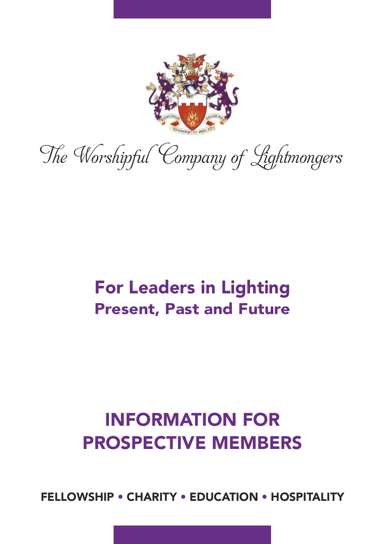

The Worshipful Company of Lightmongers

## For Leaders in Lighting Present, Past and Future

# INFORMATION FOR PROSPECTIVE MEMBERS

FELLOWSHIP • CHARITY • EDUCATION • HOSPITALITY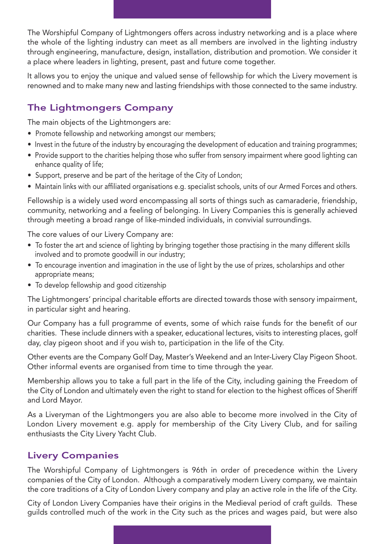The Worshipful Company of Lightmongers offers across industry networking and is a place where the whole of the lighting industry can meet as all members are involved in the lighting industry through engineering, manufacture, design, installation, distribution and promotion. We consider it a place where leaders in lighting, present, past and future come together.

It allows you to enjoy the unique and valued sense of fellowship for which the Livery movement is renowned and to make many new and lasting friendships with those connected to the same industry.

## The Lightmongers Company

The main objects of the Lightmongers are:

- Promote fellowship and networking amongst our members;
- Invest in the future of the industry by encouraging the development of education and training programmes;
- Provide support to the charities helping those who suffer from sensory impairment where good lighting can enhance quality of life;
- Support, preserve and be part of the heritage of the City of London;
- Maintain links with our affiliated organisations e.g. specialist schools, units of our Armed Forces and others.

Fellowship is a widely used word encompassing all sorts of things such as camaraderie, friendship, community, networking and a feeling of belonging. In Livery Companies this is generally achieved through meeting a broad range of like-minded individuals, in convivial surroundings.

The core values of our Livery Company are:

- To foster the art and science of lighting by bringing together those practising in the many different skills involved and to promote goodwill in our industry;
- To encourage invention and imagination in the use of light by the use of prizes, scholarships and other appropriate means;
- To develop fellowship and good citizenship

The Lightmongers' principal charitable efforts are directed towards those with sensory impairment, in particular sight and hearing.

Our Company has a full programme of events, some of which raise funds for the benefit of our charities. These include dinners with a speaker, educational lectures, visits to interesting places, golf day, clay pigeon shoot and if you wish to, participation in the life of the City.

Other events are the Company Golf Day, Master's Weekend and an Inter-Livery Clay Pigeon Shoot. Other informal events are organised from time to time through the year.

Membership allows you to take a full part in the life of the City, including gaining the Freedom of the City of London and ultimately even the right to stand for election to the highest offices of Sheriff and Lord Mayor.

As a Liveryman of the Lightmongers you are also able to become more involved in the City of London Livery movement e.g. apply for membership of the City Livery Club, and for sailing enthusiasts the City Livery Yacht Club.

## Livery Companies

The Worshipful Company of Lightmongers is 96th in order of precedence within the Livery companies of the City of London. Although a comparatively modern Livery company, we maintain the core traditions of a City of London Livery company and play an active role in the life of the City.

City of London Livery Companies have their origins in the Medieval period of craft guilds. These guilds controlled much of the work in the City such as the prices and wages paid, but were also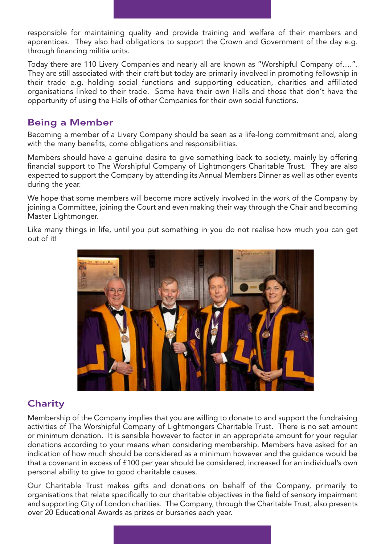responsible for maintaining quality and provide training and welfare of their members and apprentices. They also had obligations to support the Crown and Government of the day e.g. through financing militia units.

Today there are 110 Livery Companies and nearly all are known as "Worshipful Company of….". They are still associated with their craft but today are primarily involved in promoting fellowship in their trade e.g. holding social functions and supporting education, charities and affiliated organisations linked to their trade. Some have their own Halls and those that don't have the opportunity of using the Halls of other Companies for their own social functions.

## Being a Member

Becoming a member of a Livery Company should be seen as a life-long commitment and, along with the many benefits, come obligations and responsibilities.

Members should have a genuine desire to give something back to society, mainly by offering financial support to The Worshipful Company of Lightmongers Charitable Trust. They are also expected to support the Company by attending its Annual Members Dinner as well as other events during the year.

We hope that some members will become more actively involved in the work of the Company by joining a Committee, joining the Court and even making their way through the Chair and becoming Master Lightmonger.

Like many things in life, until you put something in you do not realise how much you can get out of it!



## **Charity**

Membership of the Company implies that you are willing to donate to and support the fundraising activities of The Worshipful Company of Lightmongers Charitable Trust. There is no set amount or minimum donation. It is sensible however to factor in an appropriate amount for your regular donations according to your means when considering membership. Members have asked for an indication of how much should be considered as a minimum however and the guidance would be that a covenant in excess of £100 per year should be considered, increased for an individual's own personal ability to give to good charitable causes.

Our Charitable Trust makes gifts and donations on behalf of the Company, primarily to organisations that relate specifically to our charitable objectives in the field of sensory impairment and supporting City of London charities. The Company, through the Charitable Trust, also presents over 20 Educational Awards as prizes or bursaries each year.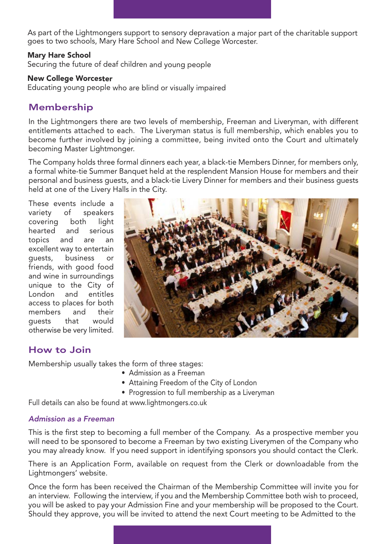As part of the Lightmongers support to sensory depravation a major part of the charitable support goes to two schools, Mary Hare School and New College Worcester.

#### Mary Hare School

Securing the future of deaf children and young people

#### New College Worcester

Educating young people who are blind or visually impaired

## Membership

In the Lightmongers there are two levels of membership, Freeman and Liveryman, with different entitlements attached to each. The Liveryman status is full membership, which enables you to become further involved by joining a committee, being invited onto the Court and ultimately becoming Master Lightmonger.

The Company holds three formal dinners each year, a black-tie Members Dinner, for members only, a formal white-tie Summer Banquet held at the resplendent Mansion House for members and their personal and business guests, and a black-tie Livery Dinner for members and their business guests held at one of the Livery Halls in the City.

These events include a variety of speakers covering both light hearted and serious topics and are an excellent way to entertain guests, business or friends, with good food and wine in surroundings unique to the City of London and entitles access to places for both members and their guests that would otherwise be very limited.



## How to Join

Membership usually takes the form of three stages:

- Admission as a Freeman
- Attaining Freedom of the City of London
- Progression to full membership as a Liveryman

Full details can also be found at www.lightmongers.co.uk

#### *Admission as a Freeman*

This is the first step to becoming a full member of the Company. As a prospective member you will need to be sponsored to become a Freeman by two existing Liverymen of the Company who you may already know. If you need support in identifying sponsors you should contact the Clerk.

There is an Application Form, available on request from the Clerk or downloadable from the Lightmongers' website.

Once the form has been received the Chairman of the Membership Committee will invite you for an interview. Following the interview, if you and the Membership Committee both wish to proceed, you will be asked to pay your Admission Fine and your membership will be proposed to the Court. Should they approve, you will be invited to attend the next Court meeting to be Admitted to the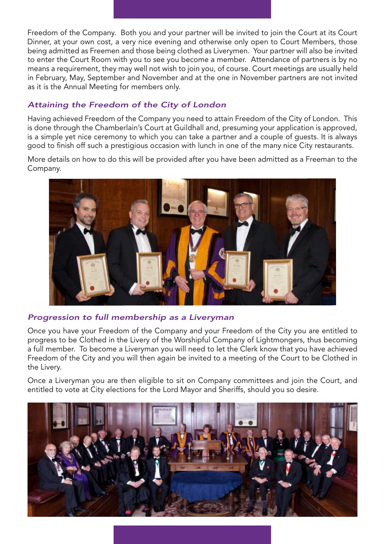Freedom of the Company. Both you and your partner will be invited to join the Court at its Court Dinner, at your own cost, a very nice evening and otherwise only open to Court Members, those being admitted as Freemen and those being clothed as Liverymen. Your partner will also be invited to enter the Court Room with you to see you become a member. Attendance of partners is by no means a requirement, they may well not wish to join you, of course. Court meetings are usually held in February, May, September and November and at the one in November partners are not invited as it is the Annual Meeting for members only.

### *Attaining the Freedom of the City of London*

Having achieved Freedom of the Company you need to attain Freedom of the City of London. This is done through the Chamberlain's Court at Guildhall and, presuming your application is approved, is a simple yet nice ceremony to which you can take a partner and a couple of guests. It is always good to finish off such a prestigious occasion with lunch in one of the many nice City restaurants.

More details on how to do this will be provided after you have been admitted as a Freeman to the Company.



#### *Progression to full membership as a Liveryman*

Once you have your Freedom of the Company and your Freedom of the City you are entitled to progress to be Clothed in the Livery of the Worshipful Company of Lightmongers, thus becoming a full member. To become a Liveryman you will need to let the Clerk know that you have achieved Freedom of the City and you will then again be invited to a meeting of the Court to be Clothed in the Livery.

Once a Liveryman you are then eligible to sit on Company committees and join the Court, and entitled to vote at City elections for the Lord Mayor and Sheriffs, should you so desire.

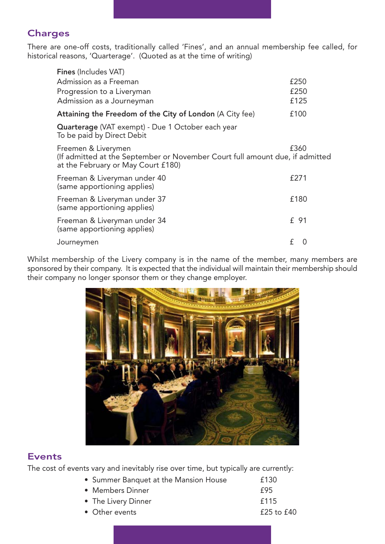## **Charges**

There are one-off costs, traditionally called 'Fines', and an annual membership fee called, for historical reasons, 'Quarterage'. (Quoted as at the time of writing)

| Fines (Includes VAT)                                                                                                                      |               |
|-------------------------------------------------------------------------------------------------------------------------------------------|---------------|
| Admission as a Freeman                                                                                                                    | £250          |
| Progression to a Liveryman                                                                                                                | £250          |
| Admission as a Journeyman                                                                                                                 | £125          |
| Attaining the Freedom of the City of London (A City fee)                                                                                  | £100          |
| Quarterage (VAT exempt) - Due 1 October each year<br>To be paid by Direct Debit                                                           |               |
| Freemen & Liverymen<br>(If admitted at the September or November Court full amount due, if admitted<br>at the February or May Court £180) | £360          |
| Freeman & Liveryman under 40<br>(same apportioning applies)                                                                               | £271          |
| Freeman & Liveryman under 37<br>(same apportioning applies)                                                                               | £180          |
| Freeman & Liveryman under 34<br>(same apportioning applies)                                                                               | £ 91          |
| Journeymen                                                                                                                                | f<br>$\Omega$ |

Whilst membership of the Livery company is in the name of the member, many members are sponsored by their company. It is expected that the individual will maintain their membership should their company no longer sponsor them or they change employer.



## **Events**

The cost of events vary and inevitably rise over time, but typically are currently:

| • Summer Banquet at the Mansion House | £130           |
|---------------------------------------|----------------|
| • Members Dinner                      | f95            |
| • The Livery Dinner                   | f115           |
| • Other events                        | $£25$ to $£40$ |
|                                       |                |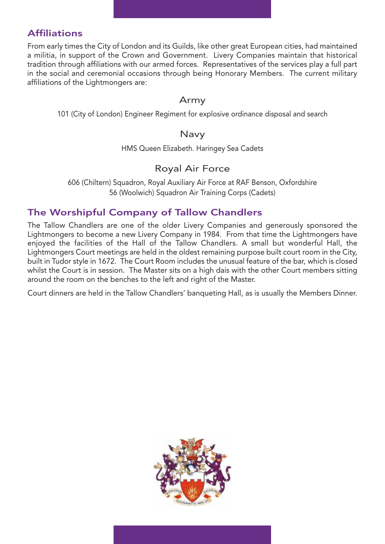## **Affiliations**

From early times the City of London and its Guilds, like other great European cities, had maintained a militia, in support of the Crown and Government. Livery Companies maintain that historical tradition through affiliations with our armed forces. Representatives of the services play a full part in the social and ceremonial occasions through being Honorary Members. The current military affiliations of the Lightmongers are:

#### Army

101 (City of London) Engineer Regiment for explosive ordinance disposal and search

#### Navy

HMS Queen Elizabeth. Haringey Sea Cadets

## Royal Air Force

606 (Chiltern) Squadron, Royal Auxiliary Air Force at RAF Benson, Oxfordshire 56 (Woolwich) Squadron Air Training Corps (Cadets)

## The Worshipful Company of Tallow Chandlers

The Tallow Chandlers are one of the older Livery Companies and generously sponsored the Lightmongers to become a new Livery Company in 1984. From that time the Lightmongers have enjoyed the facilities of the Hall of the Tallow Chandlers. A small but wonderful Hall, the Lightmongers Court meetings are held in the oldest remaining purpose built court room in the City, built in Tudor style in 1672. The Court Room includes the unusual feature of the bar, which is closed whilst the Court is in session. The Master sits on a high dais with the other Court members sitting around the room on the benches to the left and right of the Master.

Court dinners are held in the Tallow Chandlers' banqueting Hall, as is usually the Members Dinner.